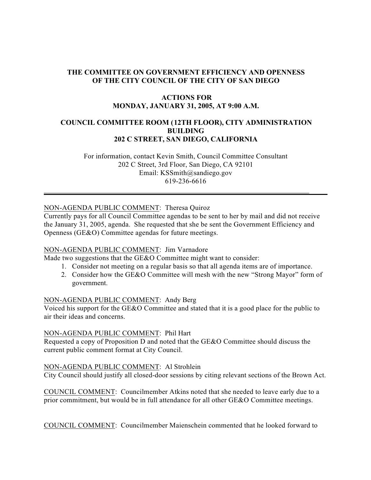# **THE COMMITTEE ON GOVERNMENT EFFICIENCY AND OPENNESS OF THE CITY COUNCIL OF THE CITY OF SAN DIEGO**

### **ACTIONS FOR MONDAY, JANUARY 31, 2005, AT 9:00 A.M.**

# **COUNCIL COMMITTEE ROOM (12TH FLOOR), CITY ADMINISTRATION BUILDING 202 C STREET, SAN DIEGO, CALIFORNIA**

 For information, contact Kevin Smith, Council Committee Consultant 202 C Street, 3rd Floor, San Diego, CA 92101 Email: KSSmith@sandiego.gov 619-236-6616

## NON-AGENDA PUBLIC COMMENT: Theresa Quiroz

Currently pays for all Council Committee agendas to be sent to her by mail and did not receive the January 31, 2005, agenda. She requested that she be sent the Government Efficiency and Openness (GE&O) Committee agendas for future meetings.

#### NON-AGENDA PUBLIC COMMENT: Jim Varnadore

Made two suggestions that the GE&O Committee might want to consider:

- 1. Consider not meeting on a regular basis so that all agenda items are of importance.
- 2. Consider how the GE&O Committee will mesh with the new "Strong Mayor" form of government.

#### NON-AGENDA PUBLIC COMMENT: Andy Berg

Voiced his support for the GE&O Committee and stated that it is a good place for the public to air their ideas and concerns.

#### NON-AGENDA PUBLIC COMMENT: Phil Hart

Requested a copy of Proposition D and noted that the GE&O Committee should discuss the current public comment format at City Council.

#### NON-AGENDA PUBLIC COMMENT: Al Strohlein

City Council should justify all closed-door sessions by citing relevant sections of the Brown Act.

COUNCIL COMMENT: Councilmember Atkins noted that she needed to leave early due to a prior commitment, but would be in full attendance for all other GE&O Committee meetings.

COUNCIL COMMENT: Councilmember Maienschein commented that he looked forward to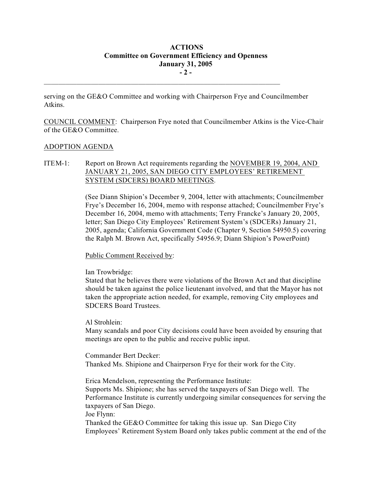# **ACTIONS Committee on Government Efficiency and Openness January 31, 2005 - 2 -**

serving on the GE&O Committee and working with Chairperson Frye and Councilmember Atkins.

 $\mathcal{L}_\text{max}$ 

COUNCIL COMMENT: Chairperson Frye noted that Councilmember Atkins is the Vice-Chair of the GE&O Committee.

#### ADOPTION AGENDA

## ITEM-1: Report on Brown Act requirements regarding the NOVEMBER 19, 2004, AND JANUARY 21, 2005, SAN DIEGO CITY EMPLOYEES' RETIREMENT SYSTEM (SDCERS) BOARD MEETINGS.

(See Diann Shipion's December 9, 2004, letter with attachments; Councilmember Frye's December 16, 2004, memo with response attached; Councilmember Frye's December 16, 2004, memo with attachments; Terry Francke's January 20, 2005, letter; San Diego City Employees' Retirement System's (SDCERs) January 21, 2005, agenda; California Government Code (Chapter 9, Section 54950.5) covering the Ralph M. Brown Act, specifically 54956.9; Diann Shipion's PowerPoint)

Public Comment Received by:

Ian Trowbridge:

Stated that he believes there were violations of the Brown Act and that discipline should be taken against the police lieutenant involved, and that the Mayor has not taken the appropriate action needed, for example, removing City employees and SDCERS Board Trustees.

Al Strohlein:

Many scandals and poor City decisions could have been avoided by ensuring that meetings are open to the public and receive public input.

Commander Bert Decker: Thanked Ms. Shipione and Chairperson Frye for their work for the City.

Erica Mendelson, representing the Performance Institute:

Supports Ms. Shipione; she has served the taxpayers of San Diego well. The Performance Institute is currently undergoing similar consequences for serving the taxpayers of San Diego.

Joe Flynn:

Thanked the GE&O Committee for taking this issue up. San Diego City Employees' Retirement System Board only takes public comment at the end of the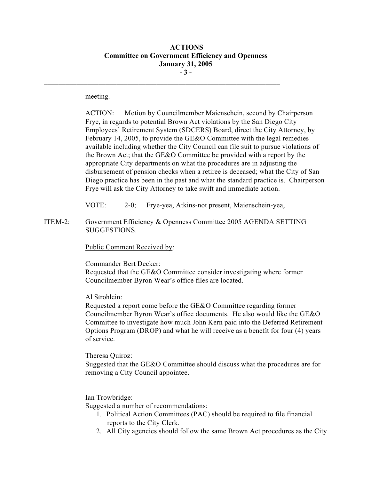## **ACTIONS Committee on Government Efficiency and Openness January 31, 2005 - 3 -**

 $\mathcal{L}_\text{max}$ 

meeting.

ACTION: Motion by Councilmember Maienschein, second by Chairperson Frye, in regards to potential Brown Act violations by the San Diego City Employees' Retirement System (SDCERS) Board, direct the City Attorney, by February 14, 2005, to provide the GE&O Committee with the legal remedies available including whether the City Council can file suit to pursue violations of the Brown Act; that the GE&O Committee be provided with a report by the appropriate City departments on what the procedures are in adjusting the disbursement of pension checks when a retiree is deceased; what the City of San Diego practice has been in the past and what the standard practice is. Chairperson Frye will ask the City Attorney to take swift and immediate action.

VOTE: 2-0; Frye-yea, Atkins-not present, Maienschein-yea,

ITEM-2: Government Efficiency & Openness Committee 2005 AGENDA SETTING SUGGESTIONS.

Public Comment Received by:

Commander Bert Decker: Requested that the GE&O Committee consider investigating where former Councilmember Byron Wear's office files are located.

Al Strohlein:

Requested a report come before the GE&O Committee regarding former Councilmember Byron Wear's office documents. He also would like the GE&O Committee to investigate how much John Kern paid into the Deferred Retirement Options Program (DROP) and what he will receive as a benefit for four (4) years of service.

Theresa Quiroz:

Suggested that the GE&O Committee should discuss what the procedures are for removing a City Council appointee.

Ian Trowbridge:

Suggested a number of recommendations:

- 1. Political Action Committees (PAC) should be required to file financial reports to the City Clerk.
- 2. All City agencies should follow the same Brown Act procedures as the City